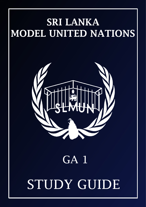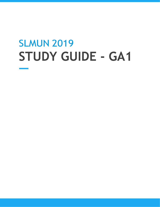# SLMUN 2019 **STUDY GUIDE - GA1**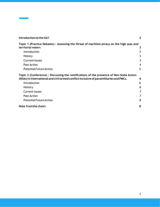| Introduction to the GA1                                                                  | $\mathbf 2$ |
|------------------------------------------------------------------------------------------|-------------|
| Topic 1 (Practice Debates): Assessing the threat of maritime piracy on the high seas and |             |
| territorial waters                                                                       | 3           |
| Introduction                                                                             | 3           |
| <b>History</b>                                                                           |             |
| <b>Current Issues</b>                                                                    |             |
| <b>Past Action</b>                                                                       | 4           |
| <b>Potential Future Action</b>                                                           | 5           |
| Topic 2 (Conference): Discussing the ramifications of the presence of Non-State Actors   |             |
| (NSAs) in international and civil armed conflict inclusive of paramilitaries and PMCs.   | 6           |
| Introduction                                                                             | 6           |
| History                                                                                  | 6           |
| <b>Current Issues</b>                                                                    |             |
| <b>Past Action</b>                                                                       |             |
| <b>Potential Future Action</b>                                                           | 8           |
| Note from the chairs                                                                     | 8           |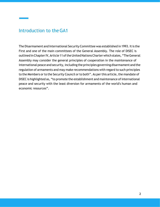### <span id="page-3-0"></span>Introduction to theGA1

The Disarmament and International Security Committee was established in 1993. It is the First and one of the main committees of the General Assembly. The role of DISEC is outlined in Chapter IV, Article 11 of the United Nations Charter which states, "The General Assembly may consider the general principles of cooperation in the maintenance of international peace and security, including the principles governing disarmament and the regulation of armaments and may make recommendations with regard to such principles to the Members or to the Security Council or to both". As per this article, the mandate of DISEC is highlighted as, "to promote the establishment and maintenance of international peace and security with the least diversion for armaments of the world's human and economic resources".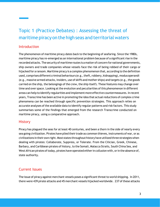## <span id="page-4-0"></span>Topic 1 (Practice Debates) : Assessing the threat of maritime piracy on the high seas and territorial waters

### <span id="page-4-1"></span>**Introduction**

The phenomenon of maritime piracy dates back to the beginning of seafaring. Since the 1980s, maritime piracy has re-emerged as an international problem because of a significant rise in the recordedattacks.The security of maritime routes isa matter of concern fornational governments, ship owners and trade companies whose vessels face the risk of being robbed of their cargo or hijacked for a ransom. Maritime piracy is a complex phenomenon that, according to the definition used, comprises different criminal behaviours (e.g., theft, robbery, kidnapping), modus operandi (e.g., massive armed attacks, insiders, use of skiffs and mother ships) and targets (e.g., the goods carried on the ship, the belongings of the crew, the ship itself). These features may change over time and over space. Looking at the evolution and peculiarities of this phenomenon in different areas can help to identify regularities and implement more effective countermeasures. In recent years, Transcrime has been active in promoting the idea that actualreductions of complex crime phenomena can be reached through specific prevention strategies. This approach relies on accurate analyses of the available data to identify regular patterns and risk factors. This study summarises some of the findings that emerged from the research Transcrime conducted on maritime piracy, using a comparative approach.

### <span id="page-4-2"></span>**History**

Piracy has plagued the seas for at least 40 centuries, and been a thorn in the side of nearly every sea going civilization. Pirates have plied their trade as common thieves, instruments of war, or as civilizations in their own right. Most states throughout history have utilizedthree strategieswhen dealing with pirates: Collaborate, Suppress, or Tolerate. From the Cilician, Greek, Chinese, Barbary, and Caribbean pirates of history, to the Somali, Malacca Straits, South China Sea, and West African pirates of today, pirates have operated either in collusion with, or in the absence of, state authority.

### <span id="page-4-3"></span>Current Issues

The issue of piracy against merchant vessels poses a significant threat to world shipping. In 2011, there were 439 pirate attacks and 45 merchant vessels hijacked worldwide. 237 of these attacks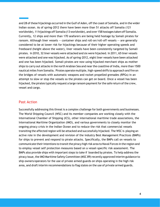and 28 of these hijackings occurred in the Gulf of Aden, off the coast of Somalia, and in the wider Indian ocean. As of spring-2012 there have been more than 51 attacks off Somalia (121 worldwide), 11 hijackings off Somalia (13 worldwide), and over 158 hostages taken off Somalia. Currently, 12 ships and more than 170 seafarers are being held hostage by Somali pirates for ransom. Although liner vessels -- container ships and roll-on/roll-off vessels -- are generally considered to be at lower risk for hijackings because of their higher operating speeds and freeboard (height above the water), liner vessels have been consistently targeted by Somali pirates. In 2010, 32 liner vessels were attacked and six were hijacked. In 2011, 65 liner vessels were attacked and one was hijacked. As of spring-2012, eight liner vessels have been attacked and one has been hijacked. Somali pirates are now using hijacked merchant ships as mother ships to carry out attacks in the north Arabian Sea and near the coastline of India, more than 1500 nautical miles from Somalia. Pirates operate multiple, high-speed skiffs to approach and fire on the bridges of vessels with automatic weapons and rocket propelled grenades (RPGs) in an attempt to slow or stop the vessels so the pirates can get on board. Once a vessel has been hijacked, the pirates typically request a large ransom payment for the safe return of the crew, vessel and cargo.

#### <span id="page-5-0"></span>Past Action

Successfully addressing this threat is a complex challenge for both governments and businesses. The World Shipping Council (WSC) and its member companies are working closely with the International Chamber of Shipping (ICS), other international maritime trade associations, the International Maritime Organization (IMO), and various governments to closely monitor the ongoing piracy crisis in the Indian Ocean and to reduce the risk that commercial vessels transiting the affected region will be attacked and successfully hijacked. The WSC is playing an active role in the development and revision of the industry Best Management Practices (BMPs) for ships to prevent and respond to pirate attacks. Specifically, the BMPs call on vessels to communicate their intentions to transit the piracy high risk area to Naval Forces in the region and to employ vessel self protection measures based on a vessel-specific risk assessment. The BMPs also provide ships with important steps to take if boarded by pirates. To help address the piracy issue, the IMO Maritime Safety Committee (MSC 89) recently approved interim guidance to ship owners/operators for the use of private armed guards on ships operating in the high risk area, and draft interim recommendations to flag states on the use of private armed guards.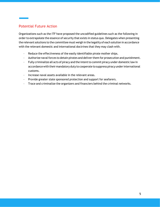### <span id="page-6-0"></span>Potential Future Action

Organizations such as the ITF have proposed the uncodified guidelines such as the following in order to extrapolate the essence of security that exists in status quo. Delegates when presenting the relevant solutions to the committee must weigh in the legality of each solution in accordance with the relevant domestic and international doctrines that they may clash with.

- Reduce the effectiveness of the easily identifiable pirate mother ships.
- Authorize naval forces to detain pirates and deliver them for prosecution and punishment.
- Fully criminalize all acts of piracy and the intent to commit piracy under domestic law in accordance with their mandatory duty to cooperate to suppress piracy under international customs.
- Increase naval assets available in the relevant areas.
- Provide greater state sponsored protection and support for seafarers.
- Trace and criminalize the organizers and financiers behind the criminal networks.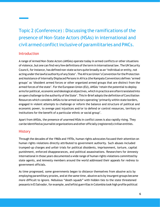# <span id="page-7-0"></span>Topic 2 (Conference) : Discussing the ramifications of the presence of Non-State Actors (NSAs) in international and civil armed conflict inclusive of paramilitaries and PMCs.

### <span id="page-7-1"></span>Introduction

A range of Armed Non-State Actors (ANSAs) operate today in armed conflicts or other situations of violence, but one can find very fewdefinitions ofthe term in international law. TheUN Security Council, for instance, has defined non-state actors quite broadly as an 'individual or entity, not acting under the lawful authority of any State'. The African Union's Convention for the Protection and Assistance of Internally Displaced Persons in Africa (the Kampala Convention) defines 'armed groups' as 'dissident armed forces or other organized armed groups that are distinct from the armed forces of the state'. For the European Union (EU), ANSAs 'retain the potential to deploy arms for political, economic and ideological objectives, which in practice are often translated into an open challenge to the authority of the State'. This In-Brief adopts the definition of Conciliation Resources which considers ANSAs to be armed actors operating 'primarily within state borders, engaged in violent attempts to challenge or reform the balance and structure of political and economic power, to avenge past injustices and/or to defend or control resources, territory or institutions for the benefit of a particular ethnic or social group'.

Apart from ANSAs, the presence of unarmed NSAs in conflict zones is also rapidly rising. They canbe identifiedas journalist organizations andother officially (registered) civilianentities.

### <span id="page-7-2"></span>**History**

Through the decades of the 1960s and 1970s, human rights advocates focused their attention on human rights violations directly attributed to government authority. Such abuses included trumped-up charges and unfair trials for political dissidents, imprisonment, torture, capital punishment, enforced disappearances, and political assassinations. Researchers for Amnesty International in those years documented a wide range of human rights violations committed by state agents, and Amnesty members around the world addressed their appeals for redress to government officials.

As time progressed, some governments began to distance themselves from abusive acts by employing paramilitary proxies, and atthe same time, abusive acts by insurgent groups became more difficult to ignore. Nebulous "death squads" with hidden ties to the state threatened peasants in El Salvador, for example, and leftist guerrillas in Colombia took high profile political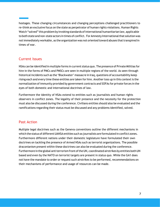hostages. These changing circumstances and changing perceptions challenged practitioners to re-think an exclusive focus on the state as perpetrator of human rights violations. Human Rights Watch "solved" this problem by invoking standards of international humanitarian law, applicable to both state and non-state actors in times of conflict. For Amnesty International that solution was not immediately workable, as the organization was not oriented toward abuses that transpired in times of war.

### <span id="page-8-0"></span>Current Issues

NSAs can be identified in multiple forms in current status quo. The presence of Private Militias for hire in the forms of PMCs and PMSCs are seen in multiple regions of the world. As seen through historical incidents such as the 'Blackwater' massacre in Iraq, questions of accountability keep rising each and every time these entities are taken for hire. Another toss up in this context is the normalization ofimmunity provided by government contracts and SOFAs for private forces in the eyes of both domestic and international doctrines of law.

Furthermore the identity of NSAs extend to entities such as journalists and human rights observers in conflict zones. The legality of their presence and the necessity for the protection must also be discussed during the conference. Civilians entities should also be evaluated and the ramifications regarding their status must be discussed and any problems identified, solved.

#### <span id="page-8-1"></span>Past Action

Multiple legal doctrines such as the Geneva conventions outline the different mechanisms in which the status of different UANSA entities such as journalists are formulated in conflict zones. Furthermore different nations under their domestic legislature have formulated their own doctrines on tackling the presence of Armed NSAs such as terrorist organizations. The possible draconianism present within these doctrines can also be evaluated during the conference. Furthermore in the global antiterrorism front of the UN, coordinated airstrikes by entities both UN based and even by the NATO on terrorist targets are present in status quo. While the GA1 does not have the mandate to order or request such airstrikes to be performed, recommendations on their mechanisms of performance and usage of resources can be made.